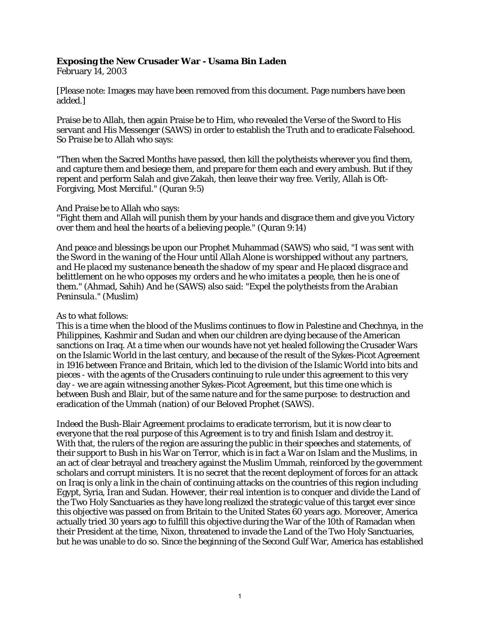# **Exposing the New Crusader War - Usama Bin Laden**

February 14, 2003

[Please note: Images may have been removed from this document. Page numbers have been added.]

Praise be to Allah, then again Praise be to Him, who revealed the Verse of the Sword to His servant and His Messenger (SAWS) in order to establish the Truth and to eradicate Falsehood. So Praise be to Allah who says:

"Then when the Sacred Months have passed, then kill the polytheists wherever you find them, and capture them and besiege them, and prepare for them each and every ambush. But if they repent and perform Salah and give Zakah, then leave their way free. Verily, Allah is Oft-Forgiving, Most Merciful." (Quran 9:5)

### And Praise be to Allah who says:

"Fight them and Allah will punish them by your hands and disgrace them and give you Victory over them and heal the hearts of a believing people." (Quran 9:14)

And peace and blessings be upon our Prophet Muhammad (SAWS) who said, *"I was sent with the Sword in the waning of the Hour until Allah Alone is worshipped without any partners, and He placed my sustenance beneath the shadow of my spear and He placed disgrace and belittlement on he who opposes my orders and he who imitates a people, then he is one of them."* (Ahmad, Sahih) And he (SAWS) also said: *"Expel the polytheists from the Arabian Peninsula."* (Muslim)

### As to what follows:

This is a time when the blood of the Muslims continues to flow in Palestine and Chechnya, in the Philippines, Kashmir and Sudan and when our children are dying because of the American sanctions on Iraq. At a time when our wounds have not yet healed following the Crusader Wars on the Islamic World in the last century, and because of the result of the Sykes-Picot Agreement in 1916 between France and Britain, which led to the division of the Islamic World into bits and pieces - with the agents of the Crusaders continuing to rule under this agreement to this very day - we are again witnessing another Sykes-Picot Agreement, but this time one which is between Bush and Blair, but of the same nature and for the same purpose: to destruction and eradication of the Ummah (nation) of our Beloved Prophet (SAWS).

Indeed the Bush-Blair Agreement proclaims to eradicate terrorism, but it is now clear to everyone that the real purpose of this Agreement is to try and finish Islam and destroy it. With that, the rulers of the region are assuring the public in their speeches and statements, of their support to Bush in his War on Terror, which is in fact a War on Islam and the Muslims, in an act of clear betrayal and treachery against the Muslim Ummah, reinforced by the government scholars and corrupt ministers. It is no secret that the recent deployment of forces for an attack on Iraq is only a link in the chain of continuing attacks on the countries of this region including Egypt, Syria, Iran and Sudan. However, their real intention is to conquer and divide the Land of the Two Holy Sanctuaries as they have long realized the strategic value of this target ever since this objective was passed on from Britain to the United States 60 years ago. Moreover, America actually tried 30 years ago to fulfill this objective during the War of the 10th of Ramadan when their President at the time, Nixon, threatened to invade the Land of the Two Holy Sanctuaries, but he was unable to do so. Since the beginning of the Second Gulf War, America has established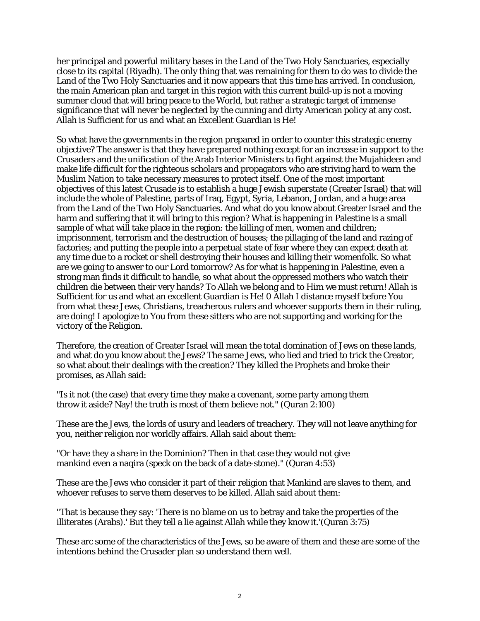her principal and powerful military bases in the Land of the Two Holy Sanctuaries, especially close to its capital (Riyadh). The only thing that was remaining for them to do was to divide the Land of the Two Holy Sanctuaries and it now appears that this time has arrived. In conclusion, the main American plan and target in this region with this current build-up is not a moving summer cloud that will bring peace to the World, but rather a strategic target of immense significance that will never be neglected by the cunning and dirty American policy at any cost. Allah is Sufficient for us and what an Excellent Guardian is He!

So what have the governments in the region prepared in order to counter this strategic enemy objective? The answer is that they have prepared nothing except for an increase in support to the Crusaders and the unification of the Arab Interior Ministers to fight against the Mujahideen and make life difficult for the righteous scholars and propagators who are striving hard to warn the Muslim Nation to take necessary measures to protect itself. One of the most important objectives of this latest Crusade is to establish a huge Jewish superstate (Greater Israel) that will include the whole of Palestine, parts of Iraq, Egypt, Syria, Lebanon, Jordan, and a huge area from the Land of the Two Holy Sanctuaries. And what do you know about Greater Israel and the harm and suffering that it will bring to this region? What is happening in Palestine is a small sample of what will take place in the region: the killing of men, women and children; imprisonment, terrorism and the destruction of houses; the pillaging of the land and razing of factories; and putting the people into a perpetual state of fear where they can expect death at any time due to a rocket or shell destroying their houses and killing their womenfolk. So what are we going to answer to our Lord tomorrow? As for what is happening in Palestine, even a strong man finds it difficult to handle, so what about the oppressed mothers who watch their children die between their very hands? To Allah we belong and to Him we must return! Allah is Sufficient for us and what an excellent Guardian is He! 0 Allah I distance myself before You from what these Jews, Christians, treacherous rulers and whoever supports them in their ruling, are doing! I apologize to You from these sitters who are not supporting and working for the victory of the Religion.

Therefore, the creation of Greater Israel will mean the total domination of Jews on these lands, and what do you know about the Jews? The same Jews, who lied and tried to trick the Creator, so what about their dealings with the creation? They killed the Prophets and broke their promises, as Allah said:

"Is it not (the case) that every time they make a covenant, some party among them throw it aside? Nay! the truth is most of them believe not." (Quran 2:100)

These are the Jews, the lords of usury and leaders of treachery. They will not leave anything for you, neither religion nor worldly affairs. Allah said about them:

"Or have they a share in the Dominion? Then in that case they would not give mankind even a naqira (speck on the back of a date-stone)." (Quran 4:53)

These are the Jews who consider it part of their religion that Mankind are slaves to them, and whoever refuses to serve them deserves to be killed. Allah said about them:

"That is because they say: 'There is no blame on us to betray and take the properties of the illiterates (Arabs).' But they tell a lie against Allah while they know it.'(Quran 3:75)

These arc some of the characteristics of the Jews, so be aware of them and these are some of the intentions behind the Crusader plan so understand them well.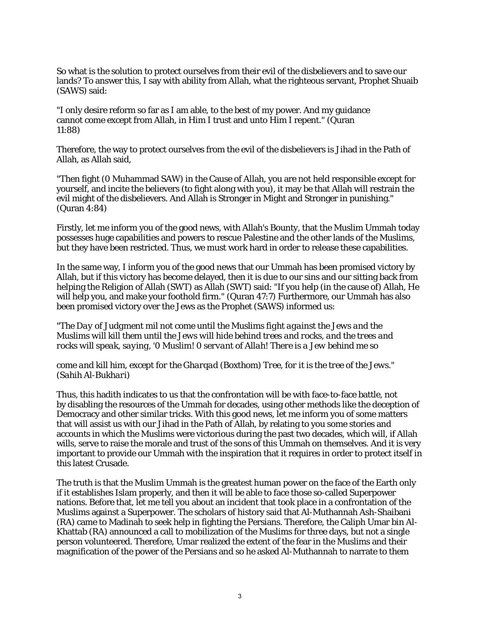So what is the solution to protect ourselves from their evil of the disbelievers and to save our lands? To answer this, I say with ability from Allah, what the righteous servant, Prophet Shuaib (SAWS) said:

"I only desire reform so far as I am able, to the best of my power. And my guidance cannot come except from Allah, in Him I trust and unto Him I repent." (Quran 11:88)

Therefore, the way to protect ourselves from the evil of the disbelievers is Jihad in the Path of Allah, as Allah said,

"Then fight (0 Muhammad SAW) in the Cause of Allah, you are not held responsible except for yourself, and incite the believers (to fight along with you), it may be that Allah will restrain the evil might of the disbelievers. And Allah is Stronger in Might and Stronger in punishing." (Quran 4:84)

Firstly, let me inform you of the good news, with Allah's Bounty, that the Muslim Ummah today possesses huge capabilities and powers to rescue Palestine and the other lands of the Muslims, but they have been restricted. Thus, we must work hard in order to release these capabilities.

In the same way, I inform you of the good news that our Ummah has been promised victory by Allah, but if this victory has become delayed, then it is due to our sins and our sitting back from helping the Religion of Allah (SWT) as Allah (SWT) said: "If you help (in the cause of) Allah, He will help you, and make your foothold firm." (Quran 47:7) Furthermore, our Ummah has also been promised victory over the Jews as the Prophet (SAWS) informed us:

*"The Day of Judgment mil not come until the Muslims fight against the Jews and the Muslims will kill them until the Jews will hide behind trees and rocks, and the trees and rocks will speak, saying, '0 Muslim! 0 servant of Allah! There is a Jew behind me so* 

*come and kill him, except for the Gharqad (Boxthom) Tree, for it is the tree of the Jews." (Sahih Al-Bukhari)* 

Thus, this hadith indicates to us that the confrontation will be with face-to-face battle, not by disabling the resources of the Ummah for decades, using other methods like the deception of Democracy and other similar tricks. With this good news, let me inform you of some matters that will assist us with our Jihad in the Path of Allah, by relating to you some stories and accounts in which the Muslims were victorious during the past two decades, which will, if Allah wills, serve to raise the morale and trust of the sons of this Ummah on themselves. And it is very important to provide our Ummah with the inspiration that it requires in order to protect itself in this latest Crusade.

The truth is that the Muslim Ummah is the greatest human power on the face of the Earth only if it establishes Islam properly, and then it will be able to face those so-called Superpower nations. Before that, let me tell you about an incident that took place in a confrontation of the Muslims against a Superpower. The scholars of history said that Al-Muthannah Ash-Shaibani (RA) came to Madinah to seek help in fighting the Persians. Therefore, the Caliph Umar bin Al-Khattab (RA) announced a call to mobilization of the Muslims for three days, but not a single person volunteered. Therefore, Umar realized the extent of the fear in the Muslims and their magnification of the power of the Persians and so he asked Al-Muthannah to narrate to them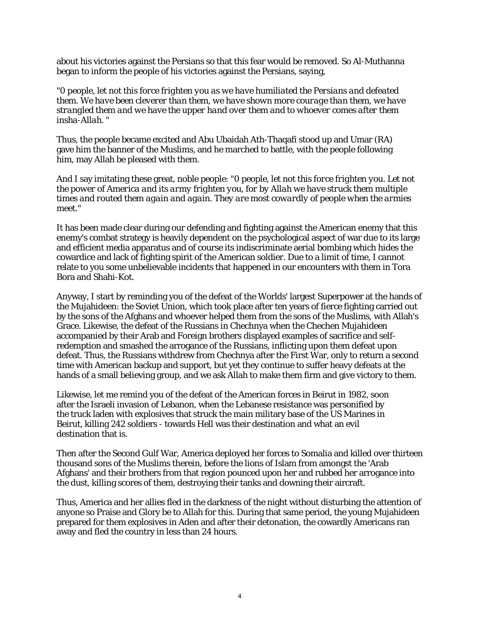about his victories against the Persians so that this fear would be removed. So Al-Muthanna began to inform the people of his victories against the Persians, saying,

*"0 people, let not this force frighten you as we have humiliated the Persians and defeated them. We have been cleverer than them, we have shown more courage than them, we have strangled them and we have the upper hand over them and to whoever comes after them insha-Allah. "* 

Thus, the people became excited and Abu Ubaidah Ath-Thaqafi stood up and Umar (RA) gave him the banner of the Muslims, and he marched to battle, with the people following him, may Allah be pleased with them.

And I say imitating these great, noble people: *"0 people, let not this force frighten you. Let not the power of America and its army frighten you, for by Allah we have struck them multiple times and routed them again and again. They are most cowardly of people when the armies meet."* 

It has been made clear during our defending and fighting against the American enemy that this enemy's combat strategy is heavily dependent on the psychological aspect of war due to its large and efficient media apparatus and of course its indiscriminate aerial bombing which hides the cowardice and lack of fighting spirit of the American soldier. Due to a limit of time, I cannot relate to you some unbelievable incidents that happened in our encounters with them in Tora Bora and Shahi-Kot.

Anyway, I start by reminding you of the defeat of the Worlds' largest Superpower at the hands of the Mujahideen: the Soviet Union, which took place after ten years of fierce fighting carried out by the sons of the Afghans and whoever helped them from the sons of the Muslims, with Allah's Grace. Likewise, the defeat of the Russians in Chechnya when the Chechen Mujahideen accompanied by their Arab and Foreign brothers displayed examples of sacrifice and selfredemption and smashed the arrogance of the Russians, inflicting upon them defeat upon defeat. Thus, the Russians withdrew from Chechnya after the First War, only to return a second time with American backup and support, but yet they continue to suffer heavy defeats at the hands of a small believing group, and we ask Allah to make them firm and give victory to them.

Likewise, let me remind you of the defeat of the American forces in Beirut in 1982, soon after the Israeli invasion of Lebanon, when the Lebanese resistance was personified by the truck laden with explosives that struck the main military base of the US Marines in Beirut, killing 242 soldiers - towards Hell was their destination and what an evil destination that is.

Then after the Second Gulf War, America deployed her forces to Somalia and killed over thirteen thousand sons of the Muslims therein, before the lions of Islam from amongst the 'Arab Afghans' and their brothers from that region pounced upon her and rubbed her arrogance into the dust, killing scores of them, destroying their tanks and downing their aircraft.

Thus, America and her allies fled in the darkness of the night without disturbing the attention of anyone so Praise and Glory be to Allah for this. During that same period, the young Mujahideen prepared for them explosives in Aden and after their detonation, the cowardly Americans ran away and fled the country in less than 24 hours.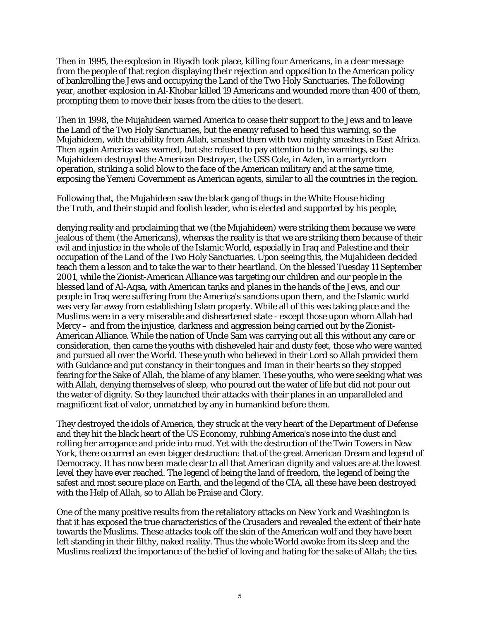Then in 1995, the explosion in Riyadh took place, killing four Americans, in a clear message from the people of that region displaying their rejection and opposition to the American policy of bankrolling the Jews and occupying the Land of the Two Holy Sanctuaries. The following year, another explosion in Al-Khobar killed 19 Americans and wounded more than 400 of them, prompting them to move their bases from the cities to the desert.

Then in 1998, the Mujahideen warned America to cease their support to the Jews and to leave the Land of the Two Holy Sanctuaries, but the enemy refused to heed this warning, so the Mujahideen, with the ability from Allah, smashed them with two mighty smashes in East Africa. Then again America was warned, but she refused to pay attention to the warnings, so the Mujahideen destroyed the American Destroyer, the USS Cole, in Aden, in a martyrdom operation, striking a solid blow to the face of the American military and at the same time, exposing the Yemeni Government as American agents, similar to all the countries in the region.

Following that, the Mujahideen saw the black gang of thugs in the White House hiding the Truth, and their stupid and foolish leader, who is elected and supported by his people,

denying reality and proclaiming that we (the Mujahideen) were striking them because we were jealous of them (the Americans), whereas the reality is that we are striking them because of their evil and injustice in the whole of the Islamic World, especially in Iraq and Palestine and their occupation of the Land of the Two Holy Sanctuaries. Upon seeing this, the Mujahideen decided teach them a lesson and to take the war to their heartland. On the blessed Tuesday 11 September 2001, while the Zionist-American Alliance was targeting our children and our people in the blessed land of Al-Aqsa, with American tanks and planes in the hands of the Jews, and our people in Iraq were suffering from the America's sanctions upon them, and the Islamic world was very far away from establishing Islam properly. While all of this was taking place and the Muslims were in a very miserable and disheartened state - except those upon whom Allah had Mercy – and from the injustice, darkness and aggression being carried out by the Zionist-American Alliance. While the nation of Uncle Sam was carrying out all this without any care or consideration, then came the youths with disheveled hair and dusty feet, those who were wanted and pursued all over the World. These youth who believed in their Lord so Allah provided them with Guidance and put constancy in their tongues and Iman in their hearts so they stopped fearing for the Sake of Allah, the blame of any blamer. These youths, who were seeking what was with Allah, denying themselves of sleep, who poured out the water of life but did not pour out the water of dignity. So they launched their attacks with their planes in an unparalleled and magnificent feat of valor, unmatched by any in humankind before them.

They destroyed the idols of America, they struck at the very heart of the Department of Defense and they hit the black heart of the US Economy, rubbing America's nose into the dust and rolling her arrogance and pride into mud. Yet with the destruction of the Twin Towers in New York, there occurred an even bigger destruction: that of the great American Dream and legend of Democracy. It has now been made clear to all that American dignity and values are at the lowest level they have ever reached. The legend of being the land of freedom, the legend of being the safest and most secure place on Earth, and the legend of the CIA, all these have been destroyed with the Help of Allah, so to Allah be Praise and Glory.

One of the many positive results from the retaliatory attacks on New York and Washington is that it has exposed the true characteristics of the Crusaders and revealed the extent of their hate towards the Muslims. These attacks took off the skin of the American wolf and they have been left standing in their filthy, naked reality. Thus the whole World awoke from its sleep and the Muslims realized the importance of the belief of loving and hating for the sake of Allah; the ties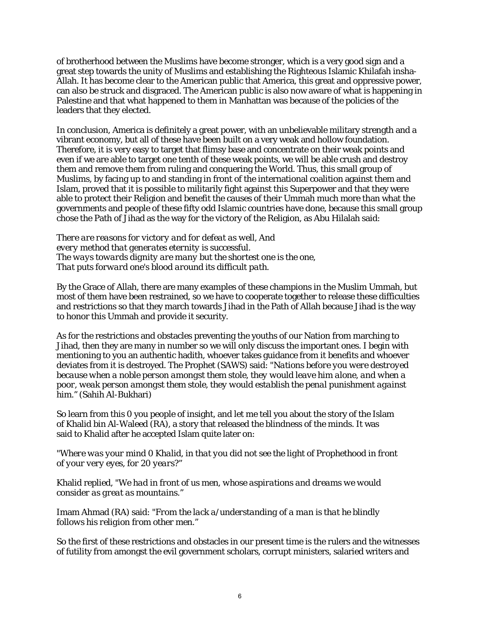of brotherhood between the Muslims have become stronger, which is a very good sign and a great step towards the unity of Muslims and establishing the Righteous Islamic Khilafah insha-Allah. It has become clear to the American public that America, this great and oppressive power, can also be struck and disgraced. The American public is also now aware of what is happening in Palestine and that what happened to them in Manhattan was because of the policies of the leaders that they elected.

In conclusion, America is definitely a great power, with an unbelievable military strength and a vibrant economy, but all of these have been built on a very weak and hollow foundation. Therefore, it is very easy to target that flimsy base and concentrate on their weak points and even if we are able to target one tenth of these weak points, we will be able crush and destroy them and remove them from ruling and conquering the World. Thus, this small group of Muslims, by facing up to and standing in front of the international coalition against them and Islam, proved that it is possible to militarily fight against this Superpower and that they were able to protect their Religion and benefit the causes of their Ummah much more than what the governments and people of these fifty odd Islamic countries have done, because this small group chose the Path of Jihad as the way for the victory of the Religion, as Abu Hilalah said:

*There are reasons for victory and for defeat as well, And every method that generates eternity is successful. The ways towards dignity are many but the shortest one is the one, That puts forward one's blood around its difficult path.* 

By the Grace of Allah, there are many examples of these champions in the Muslim Ummah, but most of them have been restrained, so we have to cooperate together to release these difficulties and restrictions so that they march towards Jihad in the Path of Allah because Jihad is the way to honor this Ummah and provide it security.

As for the restrictions and obstacles preventing the youths of our Nation from marching to Jihad, then they are many in number so we will only discuss the important ones. I begin with mentioning to you an authentic hadith, whoever takes guidance from it benefits and whoever deviates from it is destroyed. The Prophet (SAWS) said: *"Nations before you were destroyed because when a noble person amongst them stole, they would leave him alone, and when a poor, weak person amongst them stole, they would establish the penal punishment against him."* (Sahih Al-Bukhari)

So learn from this 0 you people of insight, and let me tell you about the story of the Islam of Khalid bin Al-Waleed (RA), a story that released the blindness of the minds. It was said to Khalid after he accepted Islam quite later on:

*"Where was your mind 0 Khalid, in that you did not see the light of Prophethood in front of your very eyes, for 20 years?"* 

Khalid replied, *"We had in front of us men, whose aspirations and dreams we would consider as great as mountains."* 

Imam Ahmad (RA) said: *"From the lack a/understanding of a man is that he blindly follows his religion from other men."* 

So the first of these restrictions and obstacles in our present time is the rulers and the witnesses of futility from amongst the evil government scholars, corrupt ministers, salaried writers and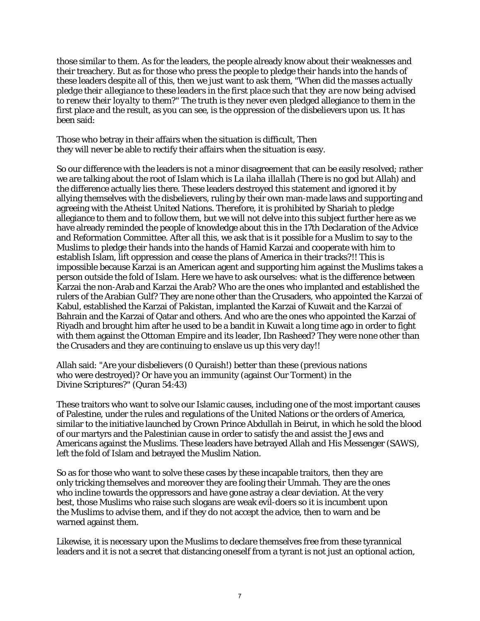those similar to them. As for the leaders, the people already know about their weaknesses and their treachery. But as for those who press the people to pledge their hands into the hands of these leaders despite all of this, then we just want to ask them, *"When did the masses actually pledge their allegiance to these leaders in the first place such that they are now being advised to renew their loyalty to them?"* The truth is they never even pledged allegiance to them in the first place and the result, as you can see, is the oppression of the disbelievers upon us. It has been said:

Those who betray in their affairs when the situation is difficult, Then they will never be able to rectify their affairs when the situation is easy.

So our difference with the leaders is not a minor disagreement that can be easily resolved; rather we are talking about the root of Islam which is *La ilaha illallah* (There is no god but Allah) and the difference actually lies there. These leaders destroyed this statement and ignored it by allying themselves with the disbelievers, ruling by their own man-made laws and supporting and agreeing with the Atheist United Nations. Therefore, it is prohibited by Shariah to pledge allegiance to them and to follow them, but we will not delve into this subject further here as we have already reminded the people of knowledge about this in the 17th Declaration of the Advice and Reformation Committee. After all this, we ask that is it possible for a Muslim to say to the Muslims to pledge their hands into the hands of Hamid Karzai and cooperate with him to establish Islam, lift oppression and cease the plans of America in their tracks?!! This is impossible because Karzai is an American agent and supporting him against the Muslims takes a person outside the fold of Islam. Here we have to ask ourselves: what is the difference between Karzai the non-Arab and Karzai the Arab? Who are the ones who implanted and established the rulers of the Arabian Gulf? They are none other than the Crusaders, who appointed the Karzai of Kabul, established the Karzai of Pakistan, implanted the Karzai of Kuwait and the Karzai of Bahrain and the Karzai of Qatar and others. And who are the ones who appointed the Karzai of Riyadh and brought him after he used to be a bandit in Kuwait a long time ago in order to fight with them against the Ottoman Empire and its leader, Ibn Rasheed? They were none other than the Crusaders and they are continuing to enslave us up this very day!!

Allah said: "Are your disbelievers (0 Quraish!) better than these (previous nations who were destroyed)? Or have you an immunity (against Our Torment) in the Divine Scriptures?" (Quran 54:43)

These traitors who want to solve our Islamic causes, including one of the most important causes of Palestine, under the rules and regulations of the United Nations or the orders of America, similar to the initiative launched by Crown Prince Abdullah in Beirut, in which he sold the blood of our martyrs and the Palestinian cause in order to satisfy the and assist the Jews and Americans against the Muslims. These leaders have betrayed Allah and His Messenger (SAWS), left the fold of Islam and betrayed the Muslim Nation.

So as for those who want to solve these cases by these incapable traitors, then they are only tricking themselves and moreover they are fooling their Ummah. They are the ones who incline towards the oppressors and have gone astray a clear deviation. At the very best, those Muslims who raise such slogans are weak evil-doers so it is incumbent upon the Muslims to advise them, and if they do not accept the advice, then to warn and be warned against them.

Likewise, it is necessary upon the Muslims to declare themselves free from these tyrannical leaders and it is not a secret that distancing oneself from a tyrant is not just an optional action,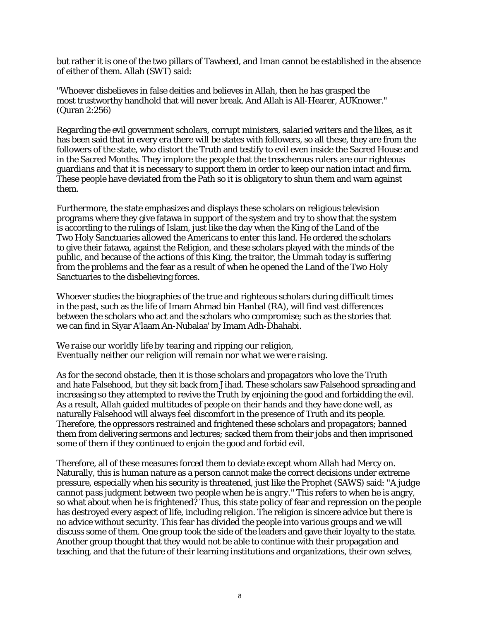but rather it is one of the two pillars of Tawheed, and Iman cannot be established in the absence of either of them. Allah (SWT) said:

"Whoever disbelieves in false deities and believes in Allah, then he has grasped the most trustworthy handhold that will never break. And Allah is All-Hearer, AUKnower." (Quran 2:256)

Regarding the evil government scholars, corrupt ministers, salaried writers and the likes, as it has been said that in every era there will be states with followers, so all these, they are from the followers of the state, who distort the Truth and testify to evil even inside the Sacred House and in the Sacred Months. They implore the people that the treacherous rulers are our righteous guardians and that it is necessary to support them in order to keep our nation intact and firm. These people have deviated from the Path so it is obligatory to shun them and warn against them.

Furthermore, the state emphasizes and displays these scholars on religious television programs where they give fatawa in support of the system and try to show that the system is according to the rulings of Islam, just like the day when the King of the Land of the Two Holy Sanctuaries allowed the Americans to enter this land. He ordered the scholars to give their fatawa, against the Religion, and these scholars played with the minds of the public, and because of the actions of this King, the traitor, the Ummah today is suffering from the problems and the fear as a result of when he opened the Land of the Two Holy Sanctuaries to the disbelieving forces.

Whoever studies the biographies of the true and righteous scholars during difficult times in the past, such as the life of Imam Ahmad bin Hanbal (RA), will find vast differences between the scholars who act and the scholars who compromise; such as the stories that we can find in Siyar A'laam An-Nubalaa' by Imam Adh-Dhahabi.

### *We raise our worldly life by tearing and ripping our religion, Eventually neither our religion will remain nor what we were raising.*

As for the second obstacle, then it is those scholars and propagators who love the Truth and hate Falsehood, but they sit back from Jihad. These scholars saw Falsehood spreading and increasing so they attempted to revive the Truth by enjoining the good and forbidding the evil. As a result, Allah guided multitudes of people on their hands and they have done well, as naturally Falsehood will always feel discomfort in the presence of Truth and its people. Therefore, the oppressors restrained and frightened these scholars and propagators; banned them from delivering sermons and lectures; sacked them from their jobs and then imprisoned some of them if they continued to enjoin the good and forbid evil.

Therefore, all of these measures forced them to deviate except whom Allah had Mercy on. Naturally, this is human nature as a person cannot make the correct decisions under extreme pressure, especially when his security is threatened, just like the Prophet (SAWS) said: *"A judge cannot pass judgment between two people when he is angry."* This refers to when he is angry, so what about when he is frightened? Thus, this state policy of fear and repression on the people has destroyed every aspect of life, including religion. The religion is sincere advice but there is no advice without security. This fear has divided the people into various groups and we will discuss some of them. One group took the side of the leaders and gave their loyalty to the state. Another group thought that they would not be able to continue with their propagation and teaching, and that the future of their learning institutions and organizations, their own selves,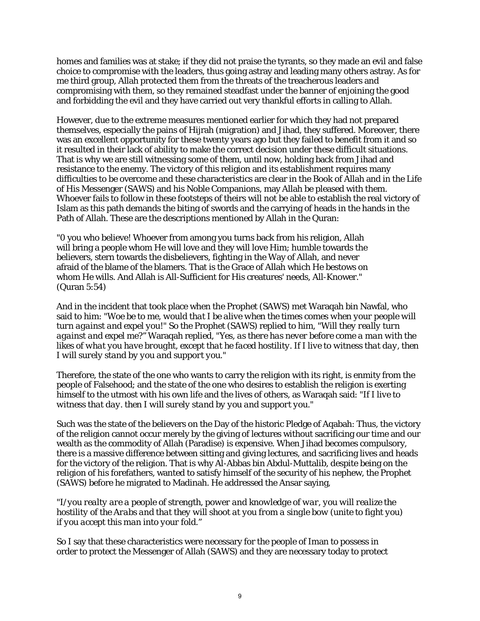homes and families was at stake; if they did not praise the tyrants, so they made an evil and false choice to compromise with the leaders, thus going astray and leading many others astray. As for me third group, Allah protected them from the threats of the treacherous leaders and compromising with them, so they remained steadfast under the banner of enjoining the good and forbidding the evil and they have carried out very thankful efforts in calling to Allah.

However, due to the extreme measures mentioned earlier for which they had not prepared themselves, especially the pains of Hijrah (migration) and Jihad, they suffered. Moreover, there was an excellent opportunity for these twenty years ago but they failed to benefit from it and so it resulted in their lack of ability to make the correct decision under these difficult situations. That is why we are still witnessing some of them, until now, holding back from Jihad and resistance to the enemy. The victory of this religion and its establishment requires many difficulties to be overcome and these characteristics are clear in the Book of Allah and in the Life of His Messenger (SAWS) and his Noble Companions, may Allah be pleased with them. Whoever fails to follow in these footsteps of theirs will not be able to establish the real victory of Islam as this path demands the biting of swords and the carrying of heads in the hands in the Path of Allah. These are the descriptions mentioned by Allah in the Quran:

"0 you who believe! Whoever from among you turns back from his religion, Allah will bring a people whom He will love and they will love Him; humble towards the believers, stern towards the disbelievers, fighting in the Way of Allah, and never afraid of the blame of the blamers. That is the Grace of Allah which He bestows on whom He wills. And Allah is All-Sufficient for His creatures' needs, All-Knower." (Quran 5:54)

And in the incident that took place when the Prophet (SAWS) met Waraqah bin Nawfal, who said to him: *"Woe be to me, would that I be alive when the times comes when your people will turn against and expel you!"* So the Prophet (SAWS) replied to him, *"Will they really turn against and expel me?"* Waraqah replied, *"Yes, as there has never before come a man with the likes of what you have brought, except that he faced hostility. If I live to witness that day, then I will surely stand by you and support you."* 

Therefore, the state of the one who wants to carry the religion with its right, is enmity from the people of Falsehood; and the state of the one who desires to establish the religion is exerting himself to the utmost with his own life and the lives of others, as Waraqah said: *"If I live to witness that day. then I will surely stand by you and support you."* 

Such was the state of the believers on the Day of the historic Pledge of Aqabah: Thus, the victory of the religion cannot occur merely by the giving of lectures without sacrificing our time and our wealth as the commodity of Allah (Paradise) is expensive. When Jihad becomes compulsory, there is a massive difference between sitting and giving lectures, and sacrificing lives and heads for the victory of the religion. That is why Al-Abbas bin Abdul-Muttalib, despite being on the religion of his forefathers, wanted to satisfy himself of the security of his nephew, the Prophet (SAWS) before he migrated to Madinah. He addressed the Ansar saying,

*"I/you realty are a people of strength, power and knowledge of war, you will realize the hostility of the Arabs and that they will shoot at you from a single bow (unite to fight you) if you accept this man into your fold."* 

So I say that these characteristics were necessary for the people of Iman to possess in order to protect the Messenger of Allah (SAWS) and they are necessary today to protect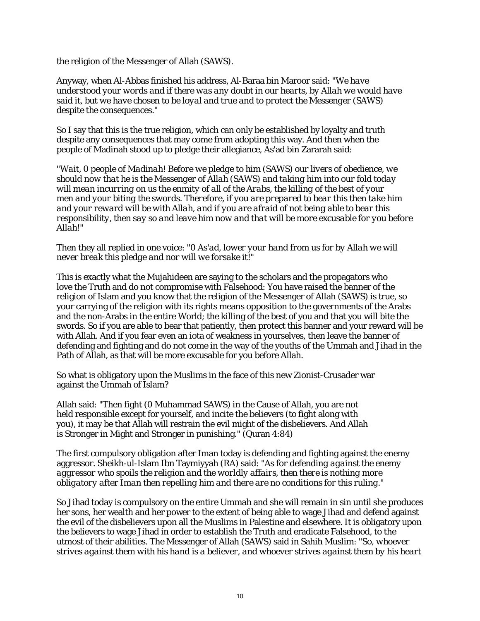the religion of the Messenger of Allah (SAWS).

Anyway, when Al-Abbas finished his address, Al-Baraa bin Maroor said: *"We have understood your words and if there was any doubt in our hearts, by Allah we would have said it, but we have chosen to be loyal and true and to protect the Messenger (SAWS) despite the consequences."* 

So I say that this is the true religion, which can only be established by loyalty and truth despite any consequences that may come from adopting this way. And then when the people of Madinah stood up to pledge their allegiance, As'ad bin Zararah said:

*"Wait, 0 people of Madinah! Before we pledge to him (SAWS) our livers of obedience, we should now that he is the Messenger of Allah (SAWS) and taking him into our fold today will mean incurring on us the enmity of all of the Arabs, the killing of the best of your men and your biting the swords. Therefore, if you are prepared to bear this then take him and your reward will be with Allah, and if you are afraid of not being able to bear this responsibility, then say so and leave him now and that will be more excusable for you before Allah!"* 

Then they all replied in one voice: *"0 As'ad, lower your hand from us for by Allah we will never break this pledge and nor will we forsake it!"* 

This is exactly what the Mujahideen are saying to the scholars and the propagators who love the Truth and do not compromise with Falsehood: You have raised the banner of the religion of Islam and you know that the religion of the Messenger of Allah (SAWS) is true, so your carrying of the religion with its rights means opposition to the governments of the Arabs and the non-Arabs in the entire World; the killing of the best of you and that you will bite the swords. So if you are able to bear that patiently, then protect this banner and your reward will be with Allah. And if you fear even an iota of weakness in yourselves, then leave the banner of defending and fighting and do not come in the way of the youths of the Ummah and Jihad in the Path of Allah, as that will be more excusable for you before Allah.

So what is obligatory upon the Muslims in the face of this new Zionist-Crusader war against the Ummah of Islam?

Allah said: "Then fight (0 Muhammad SAWS) in the Cause of Allah, you are not held responsible except for yourself, and incite the believers (to fight along with you), it may be that Allah will restrain the evil might of the disbelievers. And Allah is Stronger in Might and Stronger in punishing." (Quran 4:84)

The first compulsory obligation after Iman today is defending and fighting against the enemy aggressor. Sheikh-ul-Islam Ibn Taymiyyah (RA) said: *"As for defending against the enemy aggressor who spoils the religion and the worldly affairs, then there is nothing more obligatory after Iman then repelling him and there are no conditions for this ruling."* 

So Jihad today is compulsory on the entire Ummah and she will remain in sin until she produces her sons, her wealth and her power to the extent of being able to wage Jihad and defend against the evil of the disbelievers upon all the Muslims in Palestine and elsewhere. It is obligatory upon the believers to wage Jihad in order to establish the Truth and eradicate Falsehood, to the utmost of their abilities. The Messenger of Allah (SAWS) said in Sahih Muslim: *"So, whoever strives against them with his hand is a believer, and whoever strives against them by his heart*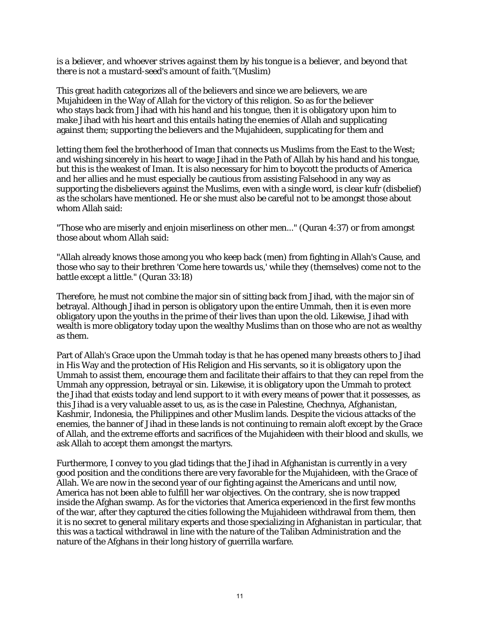## *is a believer, and whoever strives against them by his tongue is a believer, and beyond that there is not a mustard-seed's amount of faith."(Muslim)*

This great hadith categorizes all of the believers and since we are believers, we are Mujahideen in the Way of Allah for the victory of this religion. So as for the believer who stays back from Jihad with his hand and his tongue, then it is obligatory upon him to make Jihad with his heart and this entails hating the enemies of Allah and supplicating against them; supporting the believers and the Mujahideen, supplicating for them and

letting them feel the brotherhood of Iman that connects us Muslims from the East to the West; and wishing sincerely in his heart to wage Jihad in the Path of Allah by his hand and his tongue, but this is the weakest of Iman. It is also necessary for him to boycott the products of America and her allies and he must especially be cautious from assisting Falsehood in any way as supporting the disbelievers against the Muslims, even with a single word, is clear kufr (disbelief) as the scholars have mentioned. He or she must also be careful not to be amongst those about whom Allah said:

"Those who are miserly and enjoin miserliness on other men..." (Quran 4:37) or from amongst those about whom Allah said:

"Allah already knows those among you who keep back (men) from fighting in Allah's Cause, and those who say to their brethren 'Come here towards us,' while they (themselves) come not to the battle except a little." (Quran 33:18)

Therefore, he must not combine the major sin of sitting back from Jihad, with the major sin of betrayal. Although Jihad in person is obligatory upon the entire Ummah, then it is even more obligatory upon the youths in the prime of their lives than upon the old. Likewise, Jihad with wealth is more obligatory today upon the wealthy Muslims than on those who are not as wealthy as them.

Part of Allah's Grace upon the Ummah today is that he has opened many breasts others to Jihad in His Way and the protection of His Religion and His servants, so it is obligatory upon the Ummah to assist them, encourage them and facilitate their affairs to that they can repel from the Ummah any oppression, betrayal or sin. Likewise, it is obligatory upon the Ummah to protect the Jihad that exists today and lend support to it with every means of power that it possesses, as this Jihad is a very valuable asset to us, as is the case in Palestine, Chechnya, Afghanistan, Kashmir, Indonesia, the Philippines and other Muslim lands. Despite the vicious attacks of the enemies, the banner of Jihad in these lands is not continuing to remain aloft except by the Grace of Allah, and the extreme efforts and sacrifices of the Mujahideen with their blood and skulls, we ask Allah to accept them amongst the martyrs.

Furthermore, I convey to you glad tidings that the Jihad in Afghanistan is currently in a very good position and the conditions there are very favorable for the Mujahideen, with the Grace of Allah. We are now in the second year of our fighting against the Americans and until now, America has not been able to fulfill her war objectives. On the contrary, she is now trapped inside the Afghan swamp. As for the victories that America experienced in the first few months of the war, after they captured the cities following the Mujahideen withdrawal from them, then it is no secret to general military experts and those specializing in Afghanistan in particular, that this was a tactical withdrawal in line with the nature of the Taliban Administration and the nature of the Afghans in their long history of guerrilla warfare.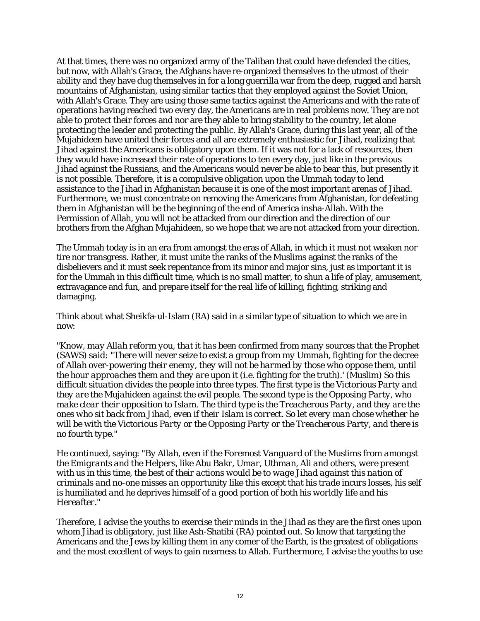At that times, there was no organized army of the Taliban that could have defended the cities, but now, with Allah's Grace, the Afghans have re-organized themselves to the utmost of their ability and they have dug themselves in for a long guerrilla war from the deep, rugged and harsh mountains of Afghanistan, using similar tactics that they employed against the Soviet Union, with Allah's Grace. They are using those same tactics against the Americans and with the rate of operations having reached two every day, the Americans are in real problems now. They are not able to protect their forces and nor are they able to bring stability to the country, let alone protecting the leader and protecting the public. By Allah's Grace, during this last year, all of the Mujahideen have united their forces and all are extremely enthusiastic for Jihad, realizing that Jihad against the Americans is obligatory upon them. If it was not for a lack of resources, then they would have increased their rate of operations to ten every day, just like in the previous Jihad against the Russians, and the Americans would never be able to bear this, but presently it is not possible. Therefore, it is a compulsive obligation upon the Ummah today to lend assistance to the Jihad in Afghanistan because it is one of the most important arenas of Jihad. Furthermore, we must concentrate on removing the Americans from Afghanistan, for defeating them in Afghanistan will be the beginning of the end of America insha-Allah. With the Permission of Allah, you will not be attacked from our direction and the direction of our brothers from the Afghan Mujahideen, so we hope that we are not attacked from your direction.

The Ummah today is in an era from amongst the eras of Allah, in which it must not weaken nor tire nor transgress. Rather, it must unite the ranks of the Muslims against the ranks of the disbelievers and it must seek repentance from its minor and major sins, just as important it is for the Ummah in this difficult time, which is no small matter, to shun a life of play, amusement, extravagance and fun, and prepare itself for the real life of killing, fighting, striking and damaging.

Think about what Sheikfa-ul-Islam (RA) said in a similar type of situation to which we are in now:

*"Know, may Allah reform you, that it has been confirmed from many sources that the Prophet (SAWS) said: "There will never seize to exist a group from my Ummah, fighting for the decree of Allah over-powering their enemy, they will not be harmed by those who oppose them, until the hour approaches them and they are upon it (i.e. fighting for the truth).' (Muslim) So this difficult situation divides the people into three types. The first type is the Victorious Party and they are the Mujahideen against the evil people. The second type is the Opposing Party, who make clear their opposition to Islam. The third type is the Treacherous Party, and they are the ones who sit back from Jihad, even if their Islam is correct. So let every man chose whether he will be with the Victorious Party or the Opposing Party or the Treacherous Party, and there is no fourth type."* 

He continued, saying: *"By Allah, even if the Foremost Vanguard of the Muslims from amongst the Emigrants and the Helpers, like Abu Bakr, Umar, Uthman, Ali and others, were present with us in this time, the best of their actions would be to wage Jihad against this nation of criminals and no-one misses an opportunity like this except that his trade incurs losses, his self is humiliated and he deprives himself of a good portion of both his worldly life and his Hereafter."* 

Therefore, I advise the youths to exercise their minds in the Jihad as they are the first ones upon whom Jihad is obligatory, just like Ash-Shatibi (RA) pointed out. So know that targeting the Americans and the Jews by killing them in any comer of the Earth, is the greatest of obligations and the most excellent of ways to gain nearness to Allah. Furthermore, I advise the youths to use